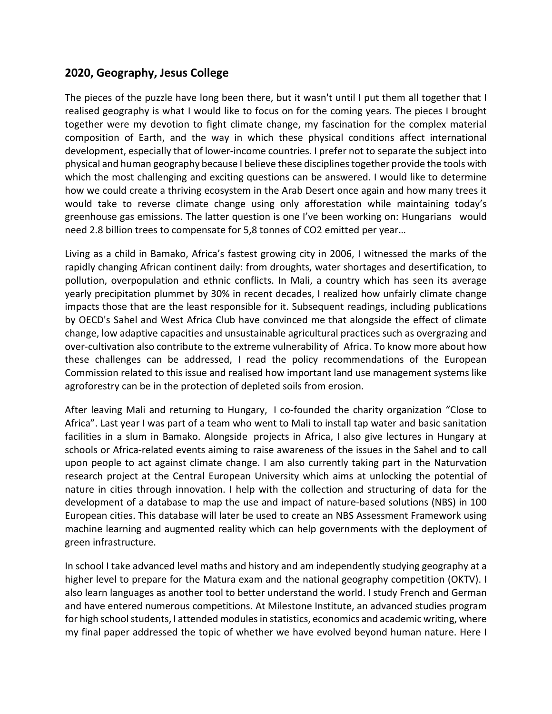## **2020, Geography, Jesus College**

The pieces of the puzzle have long been there, but it wasn't until I put them all together that I realised geography is what I would like to focus on for the coming years. The pieces I brought together were my devotion to fight climate change, my fascination for the complex material composition of Earth, and the way in which these physical conditions affect international development, especially that of lower-income countries. I prefer not to separate the subject into physical and human geography because I believe these disciplines together provide the tools with which the most challenging and exciting questions can be answered. I would like to determine how we could create a thriving ecosystem in the Arab Desert once again and how many trees it would take to reverse climate change using only afforestation while maintaining today's greenhouse gas emissions. The latter question is one I've been working on: Hungarians would need 2.8 billion trees to compensate for 5,8 tonnes of CO2 emitted per year…

Living as a child in Bamako, Africa's fastest growing city in 2006, I witnessed the marks of the rapidly changing African continent daily: from droughts, water shortages and desertification, to pollution, overpopulation and ethnic conflicts. In Mali, a country which has seen its average yearly precipitation plummet by 30% in recent decades, I realized how unfairly climate change impacts those that are the least responsible for it. Subsequent readings, including publications by OECD's Sahel and West Africa Club have convinced me that alongside the effect of climate change, low adaptive capacities and unsustainable agricultural practices such as overgrazing and over-cultivation also contribute to the extreme vulnerability of Africa. To know more about how these challenges can be addressed, I read the policy recommendations of the European Commission related to this issue and realised how important land use management systems like agroforestry can be in the protection of depleted soils from erosion.

After leaving Mali and returning to Hungary, I co-founded the charity organization "Close to Africa". Last year I was part of a team who went to Mali to install tap water and basic sanitation facilities in a slum in Bamako. Alongside projects in Africa, I also give lectures in Hungary at schools or Africa-related events aiming to raise awareness of the issues in the Sahel and to call upon people to act against climate change. I am also currently taking part in the Naturvation research project at the Central European University which aims at unlocking the potential of nature in cities through innovation. I help with the collection and structuring of data for the development of a database to map the use and impact of nature-based solutions (NBS) in 100 European cities. This database will later be used to create an NBS Assessment Framework using machine learning and augmented reality which can help governments with the deployment of green infrastructure.

In school I take advanced level maths and history and am independently studying geography at a higher level to prepare for the Matura exam and the national geography competition (OKTV). I also learn languages as another tool to better understand the world. I study French and German and have entered numerous competitions. At Milestone Institute, an advanced studies program for high school students, I attended modules in statistics, economics and academic writing, where my final paper addressed the topic of whether we have evolved beyond human nature. Here I